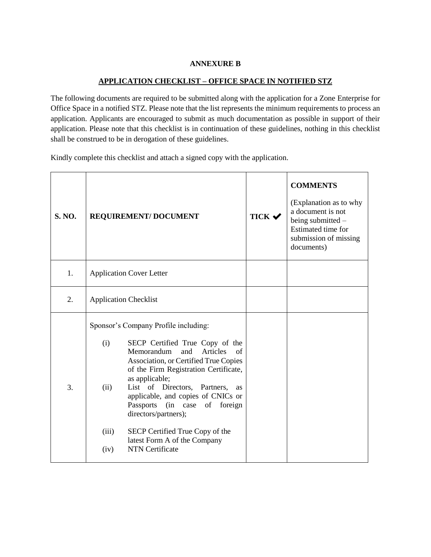## **ANNEXURE B**

## **APPLICATION CHECKLIST – OFFICE SPACE IN NOTIFIED STZ**

The following documents are required to be submitted along with the application for a Zone Enterprise for Office Space in a notified STZ. Please note that the list represents the minimum requirements to process an application. Applicants are encouraged to submit as much documentation as possible in support of their application. Please note that this checklist is in continuation of these guidelines, nothing in this checklist shall be construed to be in derogation of these guidelines.

Kindly complete this checklist and attach a signed copy with the application.

| <b>S. NO.</b> | REQUIREMENT/ DOCUMENT                                                                                                                                                                                                                                                                                                                                                                                                                                                                   | <b>TICK ↓</b> | <b>COMMENTS</b><br>(Explanation as to why<br>a document is not<br>being submitted -<br>Estimated time for<br>submission of missing<br>documents) |
|---------------|-----------------------------------------------------------------------------------------------------------------------------------------------------------------------------------------------------------------------------------------------------------------------------------------------------------------------------------------------------------------------------------------------------------------------------------------------------------------------------------------|---------------|--------------------------------------------------------------------------------------------------------------------------------------------------|
| 1.            | <b>Application Cover Letter</b>                                                                                                                                                                                                                                                                                                                                                                                                                                                         |               |                                                                                                                                                  |
| 2.            | <b>Application Checklist</b>                                                                                                                                                                                                                                                                                                                                                                                                                                                            |               |                                                                                                                                                  |
| 3.            | Sponsor's Company Profile including:<br>(i)<br>SECP Certified True Copy of the<br>Memorandum<br>and<br>Articles<br>of<br>Association, or Certified True Copies<br>of the Firm Registration Certificate,<br>as applicable;<br>List of Directors, Partners,<br>(ii)<br>as<br>applicable, and copies of CNICs or<br>Passports<br>(in case of foreign<br>directors/partners);<br>(iii)<br>SECP Certified True Copy of the<br>latest Form A of the Company<br><b>NTN</b> Certificate<br>(iv) |               |                                                                                                                                                  |